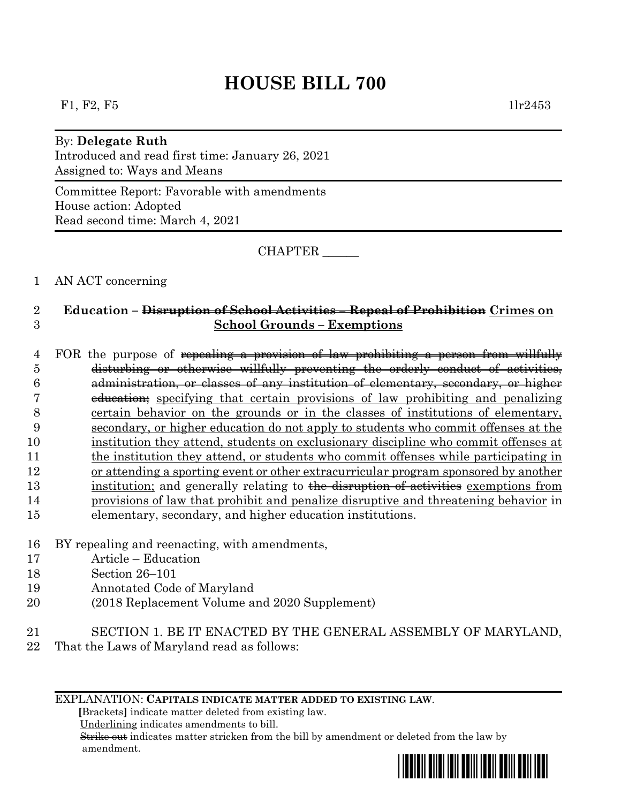# **HOUSE BILL 700**

#### By: **Delegate Ruth**

Introduced and read first time: January 26, 2021 Assigned to: Ways and Means

Committee Report: Favorable with amendments House action: Adopted Read second time: March 4, 2021

CHAPTER \_\_\_\_\_\_

### 1 AN ACT concerning

## 2 **Education – Disruption of School Activities – Repeal of Prohibition Crimes on**  3 **School Grounds – Exemptions**

4 FOR the purpose of repealing a provision of law prohibiting a person from willfully disturbing or otherwise willfully preventing the orderly conduct of activities, administration, or classes of any institution of elementary, secondary, or higher education; specifying that certain provisions of law prohibiting and penalizing certain behavior on the grounds or in the classes of institutions of elementary, secondary, or higher education do not apply to students who commit offenses at the institution they attend, students on exclusionary discipline who commit offenses at the institution they attend, or students who commit offenses while participating in or attending a sporting event or other extracurricular program sponsored by another 13 institution; and generally relating to the disruption of activities exemptions from provisions of law that prohibit and penalize disruptive and threatening behavior in elementary, secondary, and higher education institutions.

- 16 BY repealing and reenacting, with amendments,
- 17 Article Education
- 18 Section 26–101
- 19 Annotated Code of Maryland
- 20 (2018 Replacement Volume and 2020 Supplement)
- 21 SECTION 1. BE IT ENACTED BY THE GENERAL ASSEMBLY OF MARYLAND,
- 22 That the Laws of Maryland read as follows:

#### EXPLANATION: **CAPITALS INDICATE MATTER ADDED TO EXISTING LAW**.

 **[**Brackets**]** indicate matter deleted from existing law.

Underlining indicates amendments to bill.

 Strike out indicates matter stricken from the bill by amendment or deleted from the law by amendment.

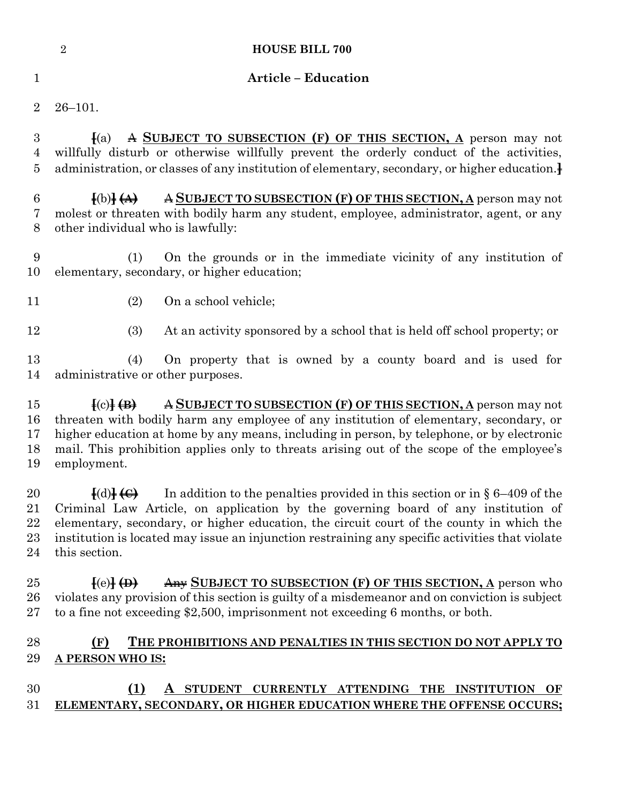|                                 | $\overline{2}$<br><b>HOUSE BILL 700</b>                                                                                                                                                                                                                                                                                                                                                                                                          |
|---------------------------------|--------------------------------------------------------------------------------------------------------------------------------------------------------------------------------------------------------------------------------------------------------------------------------------------------------------------------------------------------------------------------------------------------------------------------------------------------|
| $\mathbf{1}$                    | <b>Article - Education</b>                                                                                                                                                                                                                                                                                                                                                                                                                       |
| $\overline{2}$                  | $26 - 101.$                                                                                                                                                                                                                                                                                                                                                                                                                                      |
| $\boldsymbol{3}$<br>4<br>5      | A SUBJECT TO SUBSECTION (F) OF THIS SECTION, A person may not<br>$\parallel$ (a)<br>willfully disturb or otherwise willfully prevent the orderly conduct of the activities,<br>administration, or classes of any institution of elementary, secondary, or higher education.                                                                                                                                                                      |
| 6<br>7<br>8                     | A SUBJECT TO SUBSECTION (F) OF THIS SECTION, A person may not<br>$\{(b)\}\left(\mathbf{A}\right)$<br>molest or threaten with bodily harm any student, employee, administrator, agent, or any<br>other individual who is lawfully:                                                                                                                                                                                                                |
| 9<br>10                         | On the grounds or in the immediate vicinity of any institution of<br>(1)<br>elementary, secondary, or higher education;                                                                                                                                                                                                                                                                                                                          |
| 11                              | On a school vehicle;<br>(2)                                                                                                                                                                                                                                                                                                                                                                                                                      |
| 12                              | (3)<br>At an activity sponsored by a school that is held off school property; or                                                                                                                                                                                                                                                                                                                                                                 |
| 13<br>14                        | On property that is owned by a county board and is used for<br>(4)<br>administrative or other purposes.                                                                                                                                                                                                                                                                                                                                          |
| 15<br>16<br>17<br>18<br>19      | A SUBJECT TO SUBSECTION (F) OF THIS SECTION, A person may not<br>$\left[ \text{c)} \right] \left( \text{B} \right)$<br>threaten with bodily harm any employee of any institution of elementary, secondary, or<br>higher education at home by any means, including in person, by telephone, or by electronic<br>mail. This prohibition applies only to threats arising out of the scope of the employee's<br>employment.                          |
| 20<br>21<br>22<br>$^{23}$<br>24 | In addition to the penalties provided in this section or in $\S 6-409$ of the<br>$\left\{ \text{(d)} \right\}$ $\left\{ \bigoplus \right\}$<br>Criminal Law Article, on application by the governing board of any institution of<br>elementary, secondary, or higher education, the circuit court of the county in which the<br>institution is located may issue an injunction restraining any specific activities that violate<br>this section. |
| 25<br>$26\,$<br>$27\,$          | Any SUBJECT TO SUBSECTION (F) OF THIS SECTION, A person who<br>$\left\{ (e) \right\} \leftrightarrow$<br>violates any provision of this section is guilty of a misdemeanor and on conviction is subject<br>to a fine not exceeding \$2,500, imprisonment not exceeding 6 months, or both.                                                                                                                                                        |
| 28<br>29                        | (F)<br>THE PROHIBITIONS AND PENALTIES IN THIS SECTION DO NOT APPLY TO<br>A PERSON WHO IS:                                                                                                                                                                                                                                                                                                                                                        |
|                                 |                                                                                                                                                                                                                                                                                                                                                                                                                                                  |

## **(1) A STUDENT CURRENTLY ATTENDING THE INSTITUTION OF ELEMENTARY, SECONDARY, OR HIGHER EDUCATION WHERE THE OFFENSE OCCURS;**